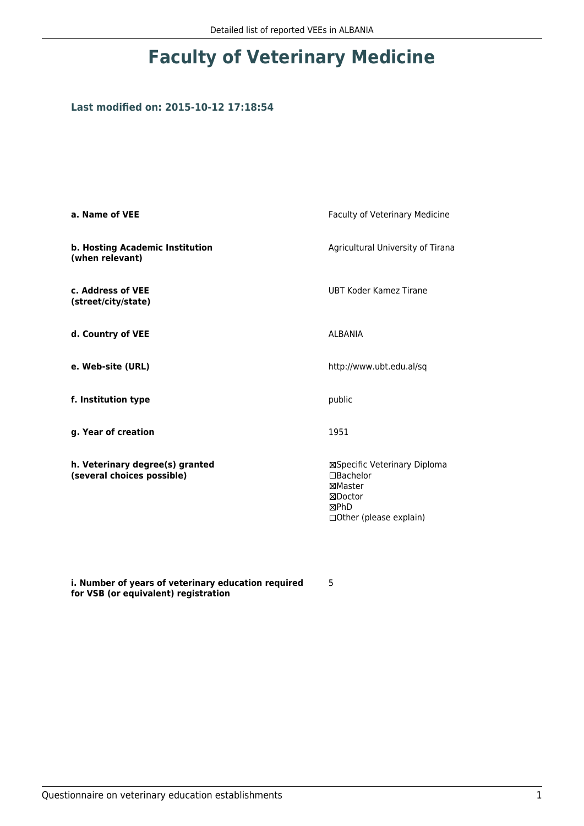## **Faculty of Veterinary Medicine**

## **Last modified on: 2015-10-12 17:18:54**

| a. Name of VEE                                                | Faculty of Veterinary Medicine                                                                                  |  |
|---------------------------------------------------------------|-----------------------------------------------------------------------------------------------------------------|--|
| b. Hosting Academic Institution<br>(when relevant)            | Agricultural University of Tirana                                                                               |  |
| c. Address of VEE<br>(street/city/state)                      | UBT Koder Kamez Tirane                                                                                          |  |
| d. Country of VEE                                             | AI BANIA                                                                                                        |  |
| e. Web-site (URL)                                             | http://www.ubt.edu.al/sq                                                                                        |  |
| f. Institution type                                           | public                                                                                                          |  |
| g. Year of creation                                           | 1951                                                                                                            |  |
| h. Veterinary degree(s) granted<br>(several choices possible) | ⊠Specific Veterinary Diploma<br>□Bachelor<br>⊠Master<br>⊠Doctor<br><b>MPhD</b><br>$\Box$ Other (please explain) |  |

**i. Number of years of veterinary education required for VSB (or equivalent) registration**

5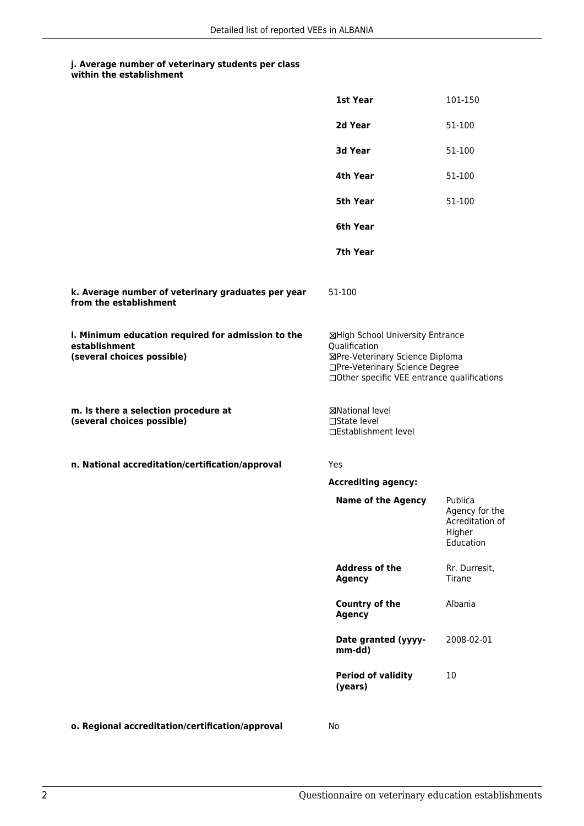## **j. Average number of veterinary students per class within the establishment**

|                                                                                                   | 1st Year                                                                                                                                                              | 101-150                                                             |
|---------------------------------------------------------------------------------------------------|-----------------------------------------------------------------------------------------------------------------------------------------------------------------------|---------------------------------------------------------------------|
|                                                                                                   | 2d Year                                                                                                                                                               | 51-100                                                              |
|                                                                                                   | 3d Year                                                                                                                                                               | 51-100                                                              |
|                                                                                                   | 4th Year                                                                                                                                                              | 51-100                                                              |
|                                                                                                   | 5th Year                                                                                                                                                              | 51-100                                                              |
|                                                                                                   | 6th Year                                                                                                                                                              |                                                                     |
|                                                                                                   | 7th Year                                                                                                                                                              |                                                                     |
| k. Average number of veterinary graduates per year<br>from the establishment                      | 51-100                                                                                                                                                                |                                                                     |
| I. Minimum education required for admission to the<br>establishment<br>(several choices possible) | ⊠High School University Entrance<br>Qualification<br>⊠Pre-Veterinary Science Diploma<br>□Pre-Veterinary Science Degree<br>□Other specific VEE entrance qualifications |                                                                     |
| m. Is there a selection procedure at<br>(several choices possible)                                | <b>⊠National level</b><br>□State level<br>□Establishment level                                                                                                        |                                                                     |
| n. National accreditation/certification/approval                                                  | Yes                                                                                                                                                                   |                                                                     |
|                                                                                                   | <b>Accrediting agency:</b>                                                                                                                                            |                                                                     |
|                                                                                                   | <b>Name of the Agency</b>                                                                                                                                             | Publica<br>Agency for the<br>Acreditation of<br>Higher<br>Education |
|                                                                                                   | <b>Address of the</b><br><b>Agency</b>                                                                                                                                | Rr. Durresit,<br>Tirane                                             |
|                                                                                                   | <b>Country of the</b><br><b>Agency</b>                                                                                                                                | Albania                                                             |
|                                                                                                   | Date granted (yyyy-<br>mm-dd)                                                                                                                                         | 2008-02-01                                                          |
|                                                                                                   | <b>Period of validity</b><br>(years)                                                                                                                                  | 10                                                                  |
|                                                                                                   |                                                                                                                                                                       |                                                                     |

**o. Regional accreditation/certification/approval** No